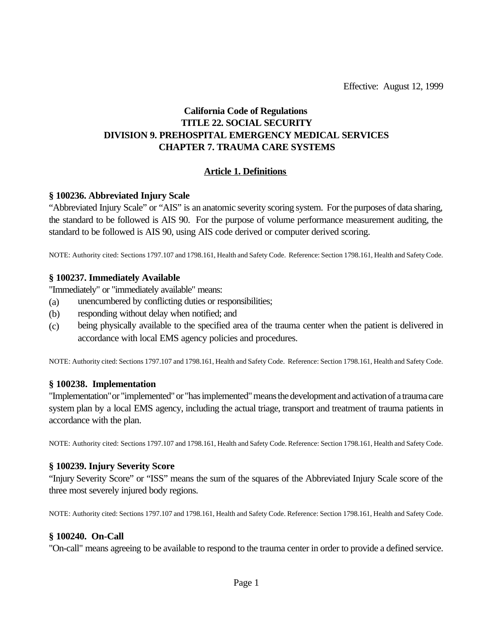Effective: August 12, 1999

## **California Code of Regulations TITLE 22. SOCIAL SECURITY DIVISION 9. PREHOSPITAL EMERGENCY MEDICAL SERVICES CHAPTER 7. TRAUMA CARE SYSTEMS**

#### **Article 1. Definitions**

#### **§ 100236. Abbreviated Injury Scale**

"Abbreviated Injury Scale" or "AIS" is an anatomic severity scoring system. For the purposes of data sharing, the standard to be followed is AIS 90. For the purpose of volume performance measurement auditing, the standard to be followed is AIS 90, using AIS code derived or computer derived scoring.

NOTE: Authority cited: Sections 1797.107 and 1798.161, Health and Safety Code. Reference: Section 1798.161, Health and Safety Code.

#### **§ 100237. Immediately Available**

"Immediately" or "immediately available" means:

- (a) unencumbered by conflicting duties or responsibilities;
- (b) responding without delay when notified; and
- (c) being physically available to the specified area of the trauma center when the patient is delivered in accordance with local EMS agency policies and procedures.

NOTE: Authority cited: Sections 1797.107 and 1798.161, Health and Safety Code. Reference: Section 1798.161, Health and Safety Code.

#### **§ 100238. Implementation**

"Implementation" or "implemented" or "has implemented" means the development and activation of a trauma care system plan by a local EMS agency, including the actual triage, transport and treatment of trauma patients in accordance with the plan.

NOTE: Authority cited: Sections 1797.107 and 1798.161, Health and Safety Code. Reference: Section 1798.161, Health and Safety Code.

#### **§ 100239. Injury Severity Score**

"Injury Severity Score" or "ISS" means the sum of the squares of the Abbreviated Injury Scale score of the three most severely injured body regions.

NOTE: Authority cited: Sections 1797.107 and 1798.161, Health and Safety Code. Reference: Section 1798.161, Health and Safety Code.

#### **§ 100240. On-Call**

"On-call" means agreeing to be available to respond to the trauma center in order to provide a defined service.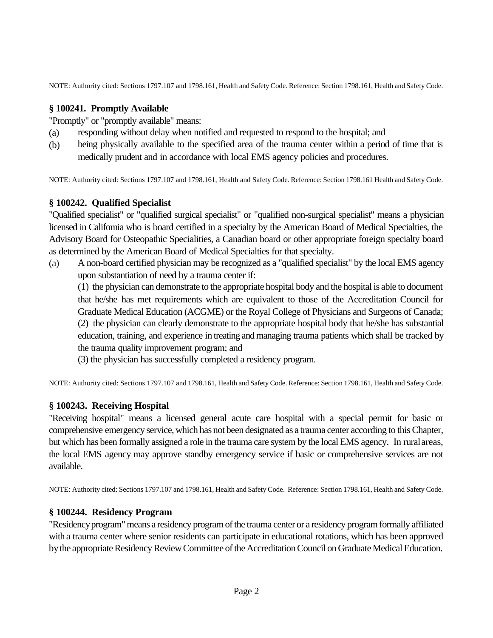NOTE: Authority cited: Sections 1797.107 and 1798.161, Health and Safety Code. Reference: Section 1798.161, Health and Safety Code.

### **§ 100241. Promptly Available**

"Promptly" or "promptly available" means:

- (a) responding without delay when notified and requested to respond to the hospital; and
- (b) being physically available to the specified area of the trauma center within a period of time that is medically prudent and in accordance with local EMS agency policies and procedures.

NOTE: Authority cited: Sections 1797.107 and 1798.161, Health and Safety Code. Reference: Section 1798.161 Health and Safety Code.

### **§ 100242. Qualified Specialist**

"Qualified specialist" or "qualified surgical specialist" or "qualified non-surgical specialist" means a physician licensed in California who is board certified in a specialty by the American Board of Medical Specialties, the Advisory Board for Osteopathic Specialities, a Canadian board or other appropriate foreign specialty board as determined by the American Board of Medical Specialties for that specialty.

(a) A non-board certified physician may be recognized as a "qualified specialist" by the local EMS agency upon substantiation of need by a trauma center if:

(1) the physician can demonstrate to the appropriate hospital body and the hospital is able to document that he/she has met requirements which are equivalent to those of the Accreditation Council for Graduate Medical Education (ACGME) or the Royal College of Physicians and Surgeons of Canada; (2) the physician can clearly demonstrate to the appropriate hospital body that he/she has substantial education, training, and experience in treating and managing trauma patients which shall be tracked by the trauma quality improvement program; and

(3) the physician has successfully completed a residency program.

NOTE: Authority cited: Sections 1797.107 and 1798.161, Health and Safety Code. Reference: Section 1798.161, Health and Safety Code.

## **§ 100243. Receiving Hospital**

"Receiving hospital" means a licensed general acute care hospital with a special permit for basic or comprehensive emergency service, which has not been designated as a trauma center according to this Chapter, but which has been formally assigned a role in the trauma care system by the local EMS agency. In rural areas, the local EMS agency may approve standby emergency service if basic or comprehensive services are not available.

NOTE: Authority cited: Sections 1797.107 and 1798.161, Health and Safety Code. Reference: Section 1798.161, Health and Safety Code.

#### **§ 100244. Residency Program**

"Residency program" means a residency program of the trauma center or a residency program formally affiliated with a trauma center where senior residents can participate in educational rotations, which has been approved by the appropriate Residency Review Committee of the Accreditation Council on Graduate Medical Education.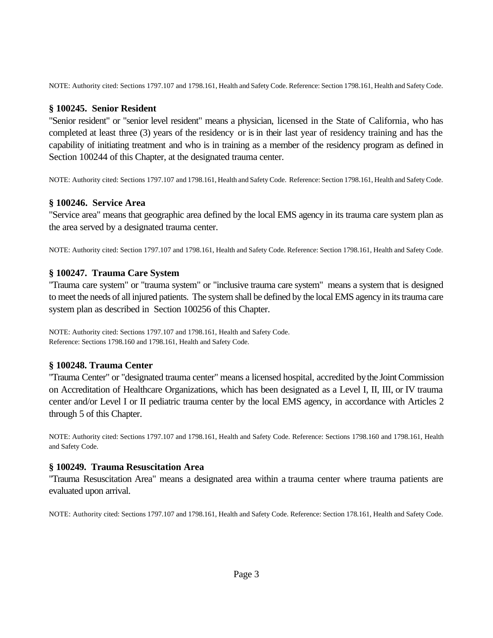NOTE: Authority cited: Sections 1797.107 and 1798.161, Health and Safety Code. Reference: Section 1798.161, Health and Safety Code.

#### **§ 100245. Senior Resident**

"Senior resident" or "senior level resident" means a physician, licensed in the State of California, who has completed at least three (3) years of the residency or is in their last year of residency training and has the capability of initiating treatment and who is in training as a member of the residency program as defined in Section 100244 of this Chapter, at the designated trauma center.

NOTE: Authority cited: Sections 1797.107 and 1798.161, Health and Safety Code. Reference: Section 1798.161, Health and Safety Code.

#### **§ 100246. Service Area**

"Service area" means that geographic area defined by the local EMS agency in its trauma care system plan as the area served by a designated trauma center.

NOTE: Authority cited: Section 1797.107 and 1798.161, Health and Safety Code. Reference: Section 1798.161, Health and Safety Code.

#### **§ 100247. Trauma Care System**

"Trauma care system" or "trauma system" or "inclusive trauma care system" means a system that is designed to meet the needs of all injured patients. The system shall be defined by the local EMS agency in its trauma care system plan as described in Section 100256 of this Chapter.

NOTE: Authority cited: Sections 1797.107 and 1798.161, Health and Safety Code. Reference: Sections 1798.160 and 1798.161, Health and Safety Code.

#### **§ 100248. Trauma Center**

"Trauma Center" or "designated trauma center" means a licensed hospital, accredited by the Joint Commission on Accreditation of Healthcare Organizations, which has been designated as a Level I, II, III, or IV trauma center and/or Level I or II pediatric trauma center by the local EMS agency, in accordance with Articles 2 through 5 of this Chapter.

NOTE: Authority cited: Sections 1797.107 and 1798.161, Health and Safety Code. Reference: Sections 1798.160 and 1798.161, Health and Safety Code.

#### **§ 100249. Trauma Resuscitation Area**

"Trauma Resuscitation Area" means a designated area within a trauma center where trauma patients are evaluated upon arrival.

NOTE: Authority cited: Sections 1797.107 and 1798.161, Health and Safety Code. Reference: Section 178.161, Health and Safety Code.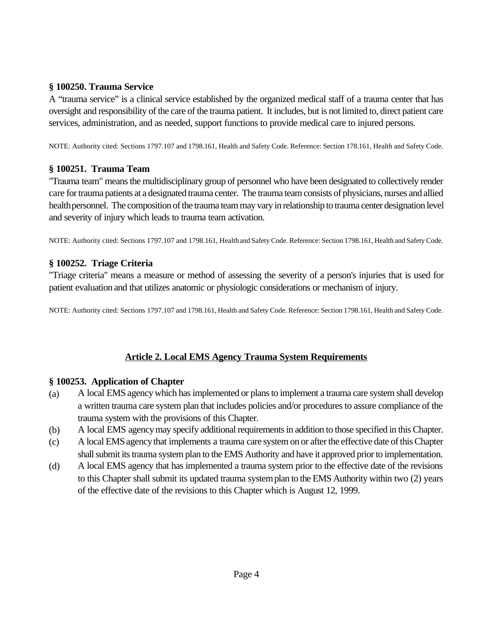### **§ 100250. Trauma Service**

A "trauma service" is a clinical service established by the organized medical staff of a trauma center that has oversight and responsibility of the care of the trauma patient. It includes, but is not limited to, direct patient care services, administration, and as needed, support functions to provide medical care to injured persons.

NOTE: Authority cited: Sections 1797.107 and 1798.161, Health and Safety Code. Reference: Section 178.161, Health and Safety Code.

## **§ 100251. Trauma Team**

"Trauma team" means the multidisciplinary group of personnel who have been designated to collectively render care for trauma patients at a designated trauma center. The trauma team consists of physicians, nurses and allied health personnel. The composition of the trauma team may vary in relationship to trauma center designation level and severity of injury which leads to trauma team activation.

NOTE: Authority cited: Sections 1797.107 and 1798.161, Health and Safety Code. Reference: Section 1798.161, Health and Safety Code.

## **§ 100252. Triage Criteria**

"Triage criteria" means a measure or method of assessing the severity of a person's injuries that is used for patient evaluation and that utilizes anatomic or physiologic considerations or mechanism of injury.

NOTE: Authority cited: Sections 1797.107 and 1798.161, Health and Safety Code. Reference: Section 1798.161, Health and Safety Code.

# **Article 2. Local EMS Agency Trauma System Requirements**

## **§ 100253. Application of Chapter**

- (a) A local EMS agency which has implemented or plans to implement a trauma care system shall develop a written trauma care system plan that includes policies and/or procedures to assure compliance of the trauma system with the provisions of this Chapter.
- (b) A local EMS agency may specify additional requirements in addition to those specified in this Chapter.
- (c) A local EMS agencythat implements a trauma care system on or after the effective date of this Chapter shall submit its trauma system plan to the EMS Authority and have it approved prior to implementation.
- (d) A local EMS agency that has implemented a trauma system prior to the effective date of the revisions to this Chapter shall submit its updated trauma system plan to the EMS Authority within two (2) years of the effective date of the revisions to this Chapter which is August 12, 1999.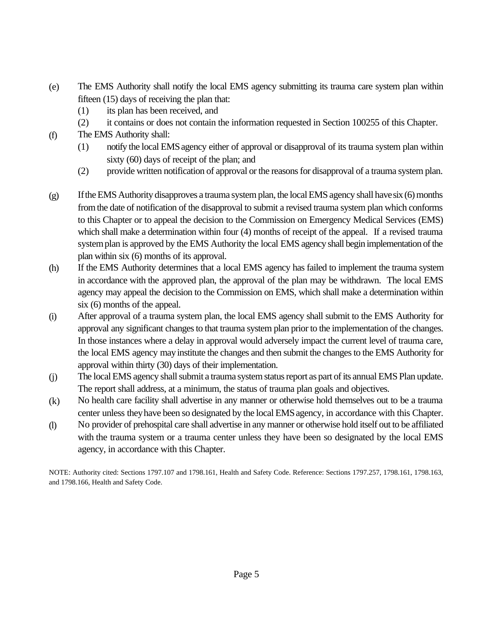- (e) The EMS Authority shall notify the local EMS agency submitting its trauma care system plan within fifteen (15) days of receiving the plan that:
	- (1) its plan has been received, and
	- (2) it contains or does not contain the information requested in Section 100255 of this Chapter.
- (f) The EMS Authority shall:
	- (1) notify the local EMS agency either of approval or disapproval of its trauma system plan within sixty (60) days of receipt of the plan; and
	- (2) provide written notification of approval or the reasons for disapproval of a trauma system plan.
- (g) If the EMS Authority disapproves a trauma system plan, the local EMS agency shall have six (6) months from the date of notification of the disapproval to submit a revised trauma system plan which conforms to this Chapter or to appeal the decision to the Commission on Emergency Medical Services (EMS) which shall make a determination within four (4) months of receipt of the appeal. If a revised trauma system plan is approved by the EMS Authority the local EMS agency shall begin implementation of the plan within six (6) months of its approval.
- (h) If the EMS Authority determines that a local EMS agency has failed to implement the trauma system in accordance with the approved plan, the approval of the plan may be withdrawn. The local EMS agency may appeal the decision to the Commission on EMS, which shall make a determination within six (6) months of the appeal.
- (i) After approval of a trauma system plan, the local EMS agency shall submit to the EMS Authority for approval any significant changes to that trauma system plan prior to the implementation of the changes. In those instances where a delay in approval would adversely impact the current level of trauma care, the local EMS agency may institute the changes and then submit the changes to the EMS Authority for approval within thirty (30) days of their implementation.
- (j) The local EMS agency shall submit a trauma system status report as part of its annual EMS Plan update. The report shall address, at a minimum, the status of trauma plan goals and objectives.
- (k) No health care facility shall advertise in any manner or otherwise hold themselves out to be a trauma center unless they have been so designated by the local EMS agency, in accordance with this Chapter.
- (l) No provider of prehospital care shall advertise in any manner or otherwise hold itself out to be affiliated with the trauma system or a trauma center unless they have been so designated by the local EMS agency, in accordance with this Chapter.

NOTE: Authority cited: Sections 1797.107 and 1798.161, Health and Safety Code. Reference: Sections 1797.257, 1798.161, 1798.163, and 1798.166, Health and Safety Code.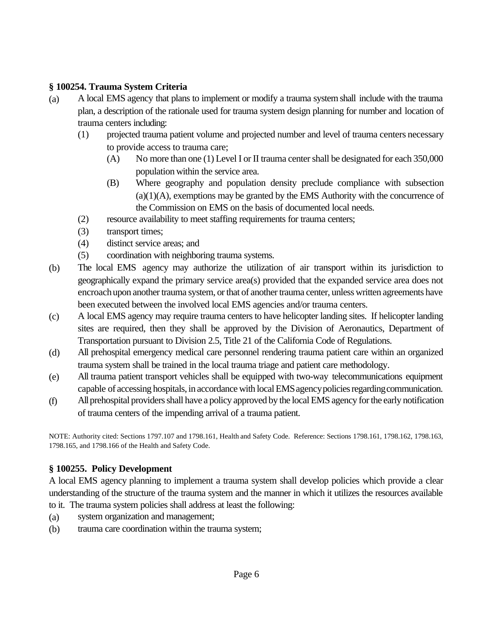### **§ 100254. Trauma System Criteria**

- (a) A local EMS agency that plans to implement or modify a trauma system shall include with the trauma plan, a description of the rationale used for trauma system design planning for number and location of trauma centers including:
	- (1) projected trauma patient volume and projected number and level of trauma centers necessary to provide access to trauma care;
		- (A) No more than one (1) Level I or II trauma center shall be designated for each 350,000 population within the service area.
		- (B) Where geography and population density preclude compliance with subsection  $(a)(1)(A)$ , exemptions may be granted by the EMS Authority with the concurrence of the Commission on EMS on the basis of documented local needs.
	- (2) resource availability to meet staffing requirements for trauma centers;
	- (3) transport times;
	- (4) distinct service areas; and
	- (5) coordination with neighboring trauma systems.
- (b) The local EMS agency may authorize the utilization of air transport within its jurisdiction to geographically expand the primary service area(s) provided that the expanded service area does not encroach upon another trauma system, or that of another trauma center, unless written agreements have been executed between the involved local EMS agencies and/or trauma centers.
- (c) A local EMS agency may require trauma centers to have helicopter landing sites. If helicopter landing sites are required, then they shall be approved by the Division of Aeronautics, Department of Transportation pursuant to Division 2.5, Title 21 of the California Code of Regulations.
- (d) All prehospital emergency medical care personnel rendering trauma patient care within an organized trauma system shall be trained in the local trauma triage and patient care methodology.
- (e) All trauma patient transport vehicles shall be equipped with two-way telecommunications equipment capable of accessing hospitals, in accordance with local EMS agency policies regarding communication.
- (f) All prehospital providers shall have a policy approved by the local EMS agency for the early notification of trauma centers of the impending arrival of a trauma patient.

NOTE: Authority cited: Sections 1797.107 and 1798.161, Health and Safety Code. Reference: Sections 1798.161, 1798.162, 1798.163, 1798.165, and 1798.166 of the Health and Safety Code.

## **§ 100255. Policy Development**

A local EMS agency planning to implement a trauma system shall develop policies which provide a clear understanding of the structure of the trauma system and the manner in which it utilizes the resources available to it. The trauma system policies shall address at least the following:

- (a) system organization and management;
- (b) trauma care coordination within the trauma system;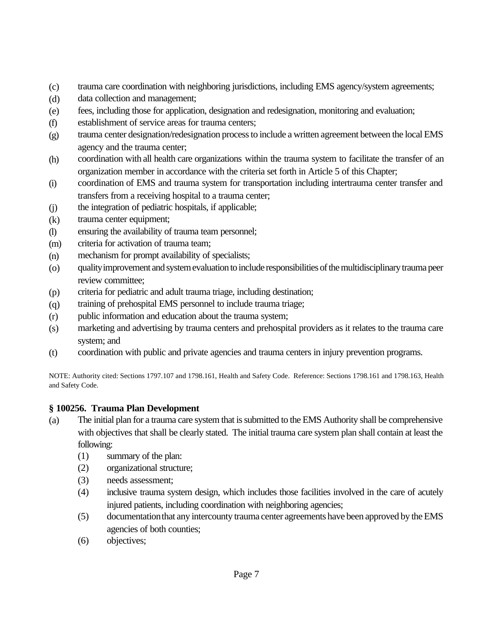- (c) trauma care coordination with neighboring jurisdictions, including EMS agency/system agreements;
- (d) data collection and management;
- (e) fees, including those for application, designation and redesignation, monitoring and evaluation;
- (f) establishment of service areas for trauma centers;
- (g) trauma center designation/redesignation process to include a written agreement between the local EMS agency and the trauma center;
- (h) coordination with all health care organizations within the trauma system to facilitate the transfer of an organization member in accordance with the criteria set forth in Article 5 of this Chapter;
- (i) coordination of EMS and trauma system for transportation including intertrauma center transfer and transfers from a receiving hospital to a trauma center;
- (j) the integration of pediatric hospitals, if applicable;
- (k) trauma center equipment;
- (l) ensuring the availability of trauma team personnel;
- (m) criteria for activation of trauma team;
- (n) mechanism for prompt availability of specialists;
- (o) quality improvement and system evaluation to include responsibilities of the multidisciplinary trauma peer review committee;
- (p) criteria for pediatric and adult trauma triage, including destination;
- (q) training of prehospital EMS personnel to include trauma triage;
- (r) public information and education about the trauma system;
- (s) marketing and advertising by trauma centers and prehospital providers as it relates to the trauma care system; and
- (t) coordination with public and private agencies and trauma centers in injury prevention programs.

NOTE: Authority cited: Sections 1797.107 and 1798.161, Health and Safety Code. Reference: Sections 1798.161 and 1798.163, Health and Safety Code.

# **§ 100256. Trauma Plan Development**

- (a) The initial plan for a trauma care system that is submitted to the EMS Authority shall be comprehensive with objectives that shall be clearly stated. The initial trauma care system plan shall contain at least the following:
	- (1) summary of the plan:
	- (2) organizational structure;
	- (3) needs assessment;
	- (4) inclusive trauma system design, which includes those facilities involved in the care of acutely injured patients, including coordination with neighboring agencies;
	- (5) documentation that any intercounty trauma center agreements have been approved by the EMS agencies of both counties;
	- (6) objectives;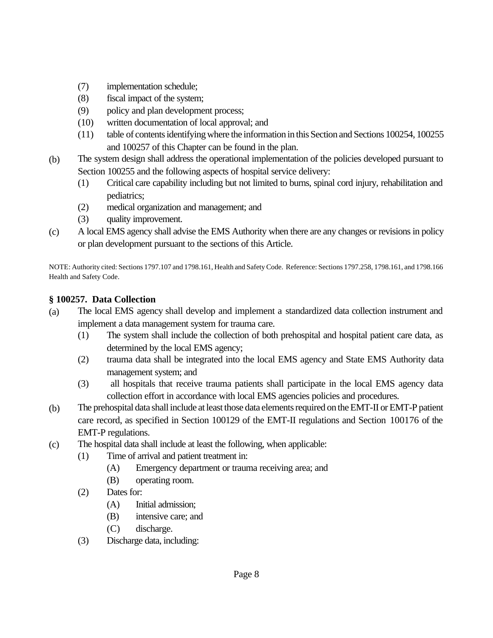- (7) implementation schedule;
- (8) fiscal impact of the system;
- (9) policy and plan development process;
- (10) written documentation of local approval; and
- (11) table of contents identifying where the information in this Section and Sections 100254, 100255 and 100257 of this Chapter can be found in the plan.
- (b) The system design shall address the operational implementation of the policies developed pursuant to Section 100255 and the following aspects of hospital service delivery:
	- (1) Critical care capability including but not limited to burns, spinal cord injury, rehabilitation and pediatrics;
	- (2) medical organization and management; and
	- (3) quality improvement.
- (c) A local EMS agency shall advise the EMS Authority when there are any changes or revisions in policy or plan development pursuant to the sections of this Article.

NOTE: Authority cited: Sections 1797.107 and 1798.161, Health and Safety Code. Reference: Sections 1797.258, 1798.161, and 1798.166 Health and Safety Code.

### **§ 100257. Data Collection**

- (a) The local EMS agency shall develop and implement a standardized data collection instrument and implement a data management system for trauma care.
	- (1) The system shall include the collection of both prehospital and hospital patient care data, as determined by the local EMS agency;
	- (2) trauma data shall be integrated into the local EMS agency and State EMS Authority data management system; and
	- (3) all hospitals that receive trauma patients shall participate in the local EMS agency data collection effort in accordance with local EMS agencies policies and procedures.
- (b) The prehospital data shall include at least those data elements required on the EMT-II or EMT-P patient care record, as specified in Section 100129 of the EMT-II regulations and Section 100176 of the EMT-P regulations.
- (c) The hospital data shall include at least the following, when applicable:
	- (1) Time of arrival and patient treatment in:
		- (A) Emergency department or trauma receiving area; and
		- (B) operating room.
	- (2) Dates for:
		- (A) Initial admission;
		- (B) intensive care; and
		- (C) discharge.
	- (3) Discharge data, including: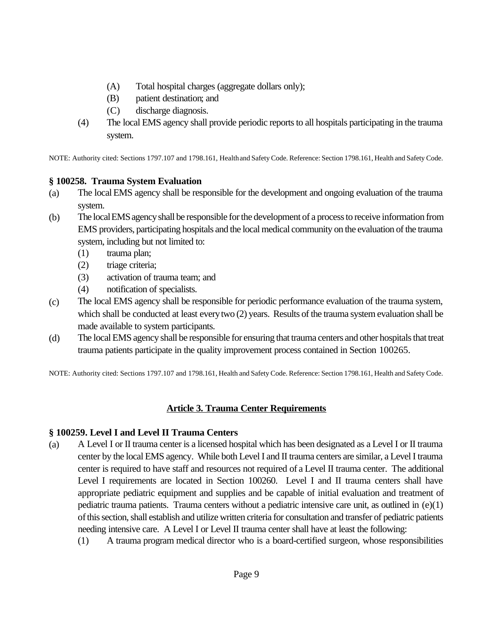- (A) Total hospital charges (aggregate dollars only);
- (B) patient destination; and
- (C) discharge diagnosis.
- (4) The local EMS agency shall provide periodic reports to all hospitals participating in the trauma system.

NOTE: Authority cited: Sections 1797.107 and 1798.161, Health and Safety Code. Reference: Section 1798.161, Health and Safety Code.

## **§ 100258. Trauma System Evaluation**

- (a) The local EMS agency shall be responsible for the development and ongoing evaluation of the trauma system.
- (b) The local EMS agency shall be responsible for the development of a process to receive information from EMS providers, participating hospitals and the local medical community on the evaluation of the trauma system, including but not limited to:
	- (1) trauma plan;
	- (2) triage criteria;
	- (3) activation of trauma team; and
	- (4) notification of specialists.
- (c) The local EMS agency shall be responsible for periodic performance evaluation of the trauma system, which shall be conducted at least every two  $(2)$  years. Results of the trauma system evaluation shall be made available to system participants.
- (d) The local EMS agency shall be responsible for ensuring that trauma centers and other hospitals that treat trauma patients participate in the quality improvement process contained in Section 100265.

NOTE: Authority cited: Sections 1797.107 and 1798.161, Health and Safety Code. Reference: Section 1798.161, Health and Safety Code.

# **Article 3. Trauma Center Requirements**

## **§ 100259. Level I and Level II Trauma Centers**

- (a) A Level I or II trauma center is a licensed hospital which has been designated as a Level I or II trauma center by the local EMS agency. While both Level I and II trauma centers are similar, a Level I trauma center is required to have staff and resources not required of a Level II trauma center. The additional Level I requirements are located in Section 100260. Level I and II trauma centers shall have appropriate pediatric equipment and supplies and be capable of initial evaluation and treatment of pediatric trauma patients. Trauma centers without a pediatric intensive care unit, as outlined in (e)(1) of this section, shall establish and utilize written criteria for consultation and transfer of pediatric patients needing intensive care. A Level I or Level II trauma center shall have at least the following:
	- (1) A trauma program medical director who is a board-certified surgeon, whose responsibilities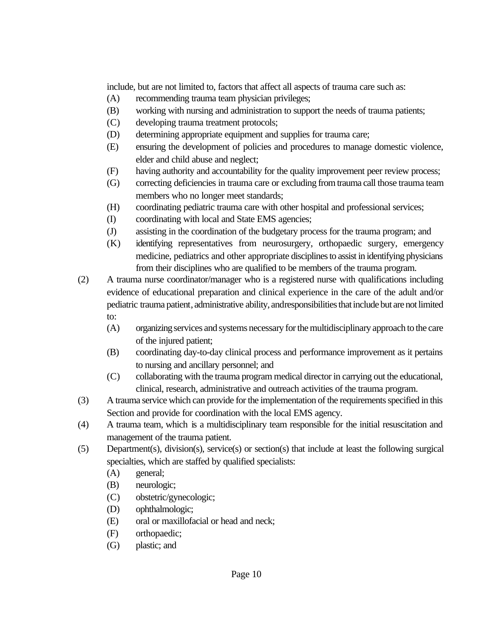include, but are not limited to, factors that affect all aspects of trauma care such as:

- (A) recommending trauma team physician privileges;
- (B) working with nursing and administration to support the needs of trauma patients;
- (C) developing trauma treatment protocols;
- (D) determining appropriate equipment and supplies for trauma care;
- (E) ensuring the development of policies and procedures to manage domestic violence, elder and child abuse and neglect;
- (F) having authority and accountability for the quality improvement peer review process;
- (G) correcting deficiencies in trauma care or excluding from trauma call those trauma team members who no longer meet standards;
- (H) coordinating pediatric trauma care with other hospital and professional services;
- (I) coordinating with local and State EMS agencies;
- (J) assisting in the coordination of the budgetary process for the trauma program; and
- (K) identifying representatives from neurosurgery, orthopaedic surgery, emergency medicine, pediatrics and other appropriate disciplines to assist in identifying physicians from their disciplines who are qualified to be members of the trauma program.
- (2) A trauma nurse coordinator/manager who is a registered nurse with qualifications including evidence of educational preparation and clinical experience in the care of the adult and/or pediatric trauma patient, administrative ability, and responsibilities that include but are not limited to:
	- (A) organizing services and systems necessary for the multidisciplinary approach to the care of the injured patient;
	- (B) coordinating day-to-day clinical process and performance improvement as it pertains to nursing and ancillary personnel; and
	- (C) collaborating with the trauma program medical director in carrying out the educational, clinical, research, administrative and outreach activities of the trauma program.
- (3) A trauma service which can provide for the implementation of the requirements specified in this Section and provide for coordination with the local EMS agency.
- (4) A trauma team, which is a multidisciplinary team responsible for the initial resuscitation and management of the trauma patient.
- (5) Department(s), division(s), service(s) or section(s) that include at least the following surgical specialties, which are staffed by qualified specialists:
	- (A) general;
	- (B) neurologic;
	- (C) obstetric/gynecologic;
	- (D) ophthalmologic;
	- (E) oral or maxillofacial or head and neck;
	- (F) orthopaedic;
	- (G) plastic; and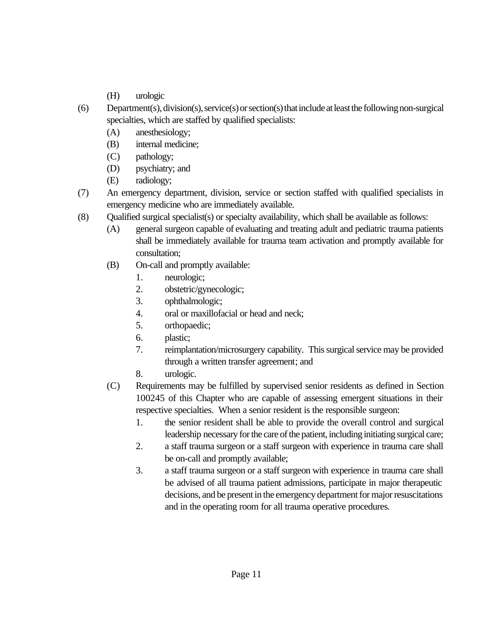- (H) urologic
- (6) Department(s), division(s), service(s) or section(s) that include at least the following non-surgical specialties, which are staffed by qualified specialists:
	- (A) anesthesiology;
	- (B) internal medicine;
	- (C) pathology;
	- (D) psychiatry; and
	- (E) radiology;
- (7) An emergency department, division, service or section staffed with qualified specialists in emergency medicine who are immediately available.
- (8) Qualified surgical specialist(s) or specialty availability, which shall be available as follows:
	- (A) general surgeon capable of evaluating and treating adult and pediatric trauma patients shall be immediately available for trauma team activation and promptly available for consultation;
	- (B) On-call and promptly available:
		- 1. neurologic;
		- 2. obstetric/gynecologic;
		- 3. ophthalmologic;
		- 4. oral or maxillofacial or head and neck;
		- 5. orthopaedic;
		- 6. plastic;
		- 7. reimplantation/microsurgery capability. This surgical service may be provided through a written transfer agreement; and
		- 8. urologic.
	- (C) Requirements may be fulfilled by supervised senior residents as defined in Section 100245 of this Chapter who are capable of assessing emergent situations in their respective specialties. When a senior resident is the responsible surgeon:
		- 1. the senior resident shall be able to provide the overall control and surgical leadership necessary for the care of the patient, including initiating surgical care;
		- 2. a staff trauma surgeon or a staff surgeon with experience in trauma care shall be on-call and promptly available;
		- 3. a staff trauma surgeon or a staff surgeon with experience in trauma care shall be advised of all trauma patient admissions, participate in major therapeutic decisions, and be present in the emergency department for major resuscitations and in the operating room for all trauma operative procedures.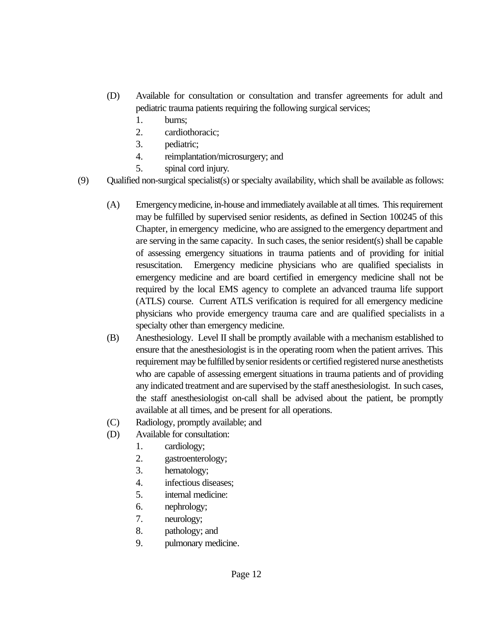- (D) Available for consultation or consultation and transfer agreements for adult and pediatric trauma patients requiring the following surgical services;
	- 1. burns;
	- 2. cardiothoracic;
	- 3. pediatric;
	- 4. reimplantation/microsurgery; and
	- 5. spinal cord injury.
- (9) Qualified non-surgical specialist(s) or specialty availability, which shall be available as follows:
	- (A) Emergency medicine, in-house and immediately available at all times. This requirement may be fulfilled by supervised senior residents, as defined in Section 100245 of this Chapter, in emergency medicine, who are assigned to the emergency department and are serving in the same capacity. In such cases, the senior resident(s) shall be capable of assessing emergency situations in trauma patients and of providing for initial resuscitation. Emergency medicine physicians who are qualified specialists in emergency medicine and are board certified in emergency medicine shall not be required by the local EMS agency to complete an advanced trauma life support (ATLS) course. Current ATLS verification is required for all emergency medicine physicians who provide emergency trauma care and are qualified specialists in a specialty other than emergency medicine.
	- (B) Anesthesiology. Level II shall be promptly available with a mechanism established to ensure that the anesthesiologist is in the operating room when the patient arrives. This requirement may be fulfilled by senior residents or certified registered nurse anesthetists who are capable of assessing emergent situations in trauma patients and of providing any indicated treatment and are supervised by the staff anesthesiologist. In such cases, the staff anesthesiologist on-call shall be advised about the patient, be promptly available at all times, and be present for all operations.
	- (C) Radiology, promptly available; and
	- (D) Available for consultation:
		- 1. cardiology;
		- 2. gastroenterology;
		- 3. hematology;
		- 4. infectious diseases;
		- 5. internal medicine:
		- 6. nephrology;
		- 7. neurology;
		- 8. pathology; and
		- 9. pulmonary medicine.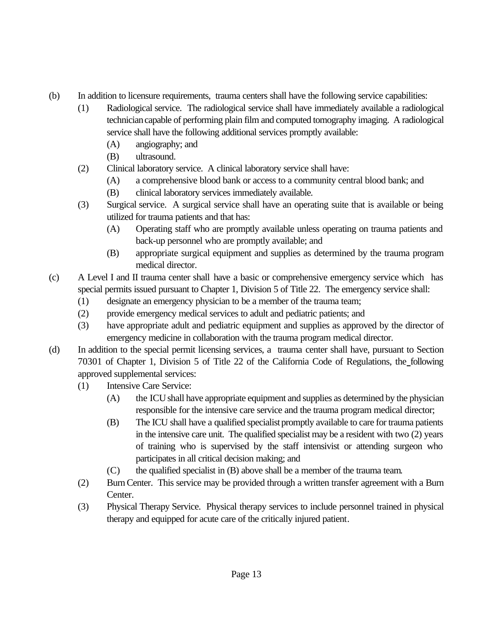- (b) In addition to licensure requirements, trauma centers shall have the following service capabilities:
	- (1) Radiological service. The radiological service shall have immediately available a radiological technician capable of performing plain film and computed tomography imaging. A radiological service shall have the following additional services promptly available:
		- (A) angiography; and
		- (B) ultrasound.
	- (2) Clinical laboratory service. A clinical laboratory service shall have:
		- (A) a comprehensive blood bank or access to a community central blood bank; and
		- (B) clinical laboratory services immediately available.
	- (3) Surgical service. A surgical service shall have an operating suite that is available or being utilized for trauma patients and that has:
		- (A) Operating staff who are promptly available unless operating on trauma patients and back-up personnel who are promptly available; and
		- (B) appropriate surgical equipment and supplies as determined by the trauma program medical director.
- (c) A Level I and II trauma center shall have a basic or comprehensive emergency service which has special permits issued pursuant to Chapter 1, Division 5 of Title 22. The emergency service shall:
	- (1) designate an emergency physician to be a member of the trauma team;
	- (2) provide emergency medical services to adult and pediatric patients; and
	- (3) have appropriate adult and pediatric equipment and supplies as approved by the director of emergency medicine in collaboration with the trauma program medical director.
- (d) In addition to the special permit licensing services, a trauma center shall have, pursuant to Section 70301 of Chapter 1, Division 5 of Title 22 of the California Code of Regulations, the following approved supplemental services:
	- (1) Intensive Care Service:
		- (A) the ICU shall have appropriate equipment and supplies as determined by the physician responsible for the intensive care service and the trauma program medical director;
		- (B) The ICU shall have a qualified specialist promptly available to care for trauma patients in the intensive care unit. The qualified specialist may be a resident with two (2) years of training who is supervised by the staff intensivist or attending surgeon who participates in all critical decision making; and
		- (C) the qualified specialist in (B) above shall be a member of the trauma team.
	- (2) Burn Center. This service may be provided through a written transfer agreement with a Burn Center.
	- (3) Physical Therapy Service. Physical therapy services to include personnel trained in physical therapy and equipped for acute care of the critically injured patient.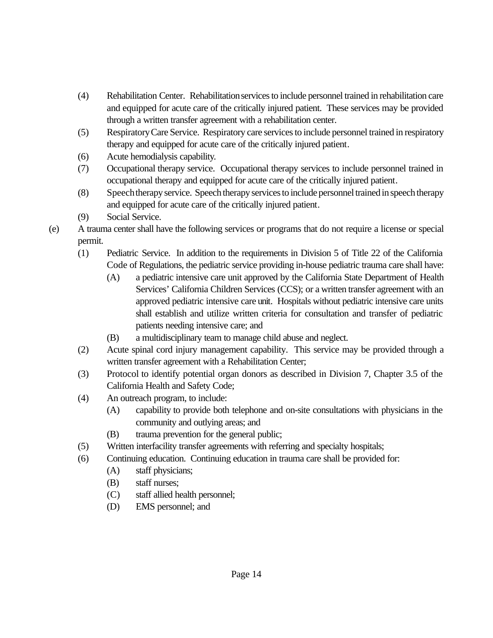- (4) Rehabilitation Center. Rehabilitation services to include personnel trained in rehabilitation care and equipped for acute care of the critically injured patient. These services may be provided through a written transfer agreement with a rehabilitation center.
- (5) Respiratory Care Service. Respiratory care services to include personnel trained in respiratory therapy and equipped for acute care of the critically injured patient.
- (6) Acute hemodialysis capability.
- (7) Occupational therapy service. Occupational therapy services to include personnel trained in occupational therapy and equipped for acute care of the critically injured patient.
- (8) Speech therapy service. Speech therapy services to include personnel trained in speech therapy and equipped for acute care of the critically injured patient.
- (9) Social Service.
- (e) A trauma center shall have the following services or programs that do not require a license or special permit.
	- (1) Pediatric Service. In addition to the requirements in Division 5 of Title 22 of the California Code of Regulations, the pediatric service providing in-house pediatric trauma care shall have:
		- (A) a pediatric intensive care unit approved by the California State Department of Health Services' California Children Services (CCS); or a written transfer agreement with an approved pediatric intensive care unit. Hospitals without pediatric intensive care units shall establish and utilize written criteria for consultation and transfer of pediatric patients needing intensive care; and
		- (B) a multidisciplinary team to manage child abuse and neglect.
	- (2) Acute spinal cord injury management capability. This service may be provided through a written transfer agreement with a Rehabilitation Center;
	- (3) Protocol to identify potential organ donors as described in Division 7, Chapter 3.5 of the California Health and Safety Code;
	- (4) An outreach program, to include:
		- (A) capability to provide both telephone and on-site consultations with physicians in the community and outlying areas; and
		- (B) trauma prevention for the general public;
	- (5) Written interfacility transfer agreements with referring and specialty hospitals;
	- (6) Continuing education. Continuing education in trauma care shall be provided for:
		- (A) staff physicians;
		- (B) staff nurses;
		- (C) staff allied health personnel;
		- (D) EMS personnel; and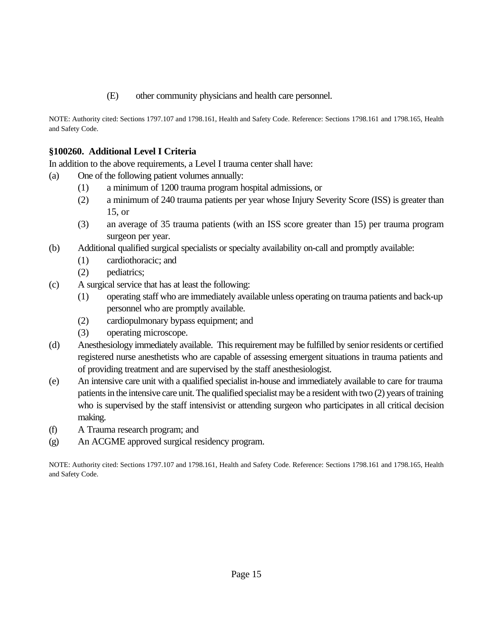(E) other community physicians and health care personnel.

NOTE: Authority cited: Sections 1797.107 and 1798.161, Health and Safety Code. Reference: Sections 1798.161 and 1798.165, Health and Safety Code.

## **§100260. Additional Level I Criteria**

In addition to the above requirements, a Level I trauma center shall have:

- (a) One of the following patient volumes annually:
	- (1) a minimum of 1200 trauma program hospital admissions, or
	- (2) a minimum of 240 trauma patients per year whose Injury Severity Score (ISS) is greater than 15, or
	- (3) an average of 35 trauma patients (with an ISS score greater than 15) per trauma program surgeon per year.
- (b) Additional qualified surgical specialists or specialty availability on-call and promptly available:
	- (1) cardiothoracic; and
	- (2) pediatrics;
- (c) A surgical service that has at least the following:
	- (1) operating staff who are immediately available unless operating on trauma patients and back-up personnel who are promptly available.
	- (2) cardiopulmonary bypass equipment; and
	- (3) operating microscope.
- (d) Anesthesiology immediately available. This requirement may be fulfilled by senior residents or certified registered nurse anesthetists who are capable of assessing emergent situations in trauma patients and of providing treatment and are supervised by the staff anesthesiologist.
- (e) An intensive care unit with a qualified specialist in-house and immediately available to care for trauma patients in the intensive care unit. The qualified specialist may be a resident with two (2) years of training who is supervised by the staff intensivist or attending surgeon who participates in all critical decision making.
- (f) A Trauma research program; and
- (g) An ACGME approved surgical residency program.

NOTE: Authority cited: Sections 1797.107 and 1798.161, Health and Safety Code. Reference: Sections 1798.161 and 1798.165, Health and Safety Code.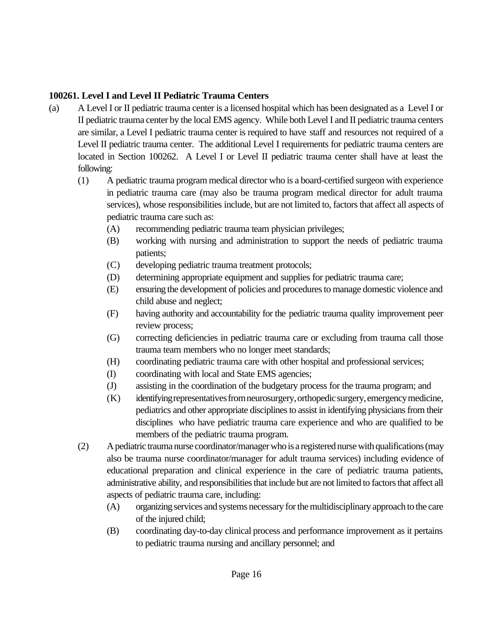### **100261. Level I and Level II Pediatric Trauma Centers**

- (a) A Level I or II pediatric trauma center is a licensed hospital which has been designated as a Level I or II pediatric trauma center by the local EMS agency. While both Level I and II pediatric trauma centers are similar, a Level I pediatric trauma center is required to have staff and resources not required of a Level II pediatric trauma center. The additional Level I requirements for pediatric trauma centers are located in Section 100262. A Level I or Level II pediatric trauma center shall have at least the following:
	- (1) A pediatric trauma program medical director who is a board-certified surgeon with experience in pediatric trauma care (may also be trauma program medical director for adult trauma services), whose responsibilities include, but are not limited to, factors that affect all aspects of pediatric trauma care such as:
		- (A) recommending pediatric trauma team physician privileges;
		- (B) working with nursing and administration to support the needs of pediatric trauma patients;
		- (C) developing pediatric trauma treatment protocols;
		- (D) determining appropriate equipment and supplies for pediatric trauma care;
		- (E) ensuring the development of policies and procedures to manage domestic violence and child abuse and neglect;
		- (F) having authority and accountability for the pediatric trauma quality improvement peer review process;
		- (G) correcting deficiencies in pediatric trauma care or excluding from trauma call those trauma team members who no longer meet standards;
		- (H) coordinating pediatric trauma care with other hospital and professional services;
		- (I) coordinating with local and State EMS agencies;
		- (J) assisting in the coordination of the budgetary process for the trauma program; and
		- (K) identifying representatives from neurosurgery, orthopedic surgery, emergency medicine, pediatrics and other appropriate disciplines to assist in identifying physicians from their disciplines who have pediatric trauma care experience and who are qualified to be members of the pediatric trauma program.
	- (2) A pediatric trauma nurse coordinator/manager who is a registered nurse with qualifications (may also be trauma nurse coordinator/manager for adult trauma services) including evidence of educational preparation and clinical experience in the care of pediatric trauma patients, administrative ability, and responsibilities that include but are not limited to factors that affect all aspects of pediatric trauma care, including:
		- (A) organizing services and systems necessary for the multidisciplinary approach to the care of the injured child;
		- (B) coordinating day-to-day clinical process and performance improvement as it pertains to pediatric trauma nursing and ancillary personnel; and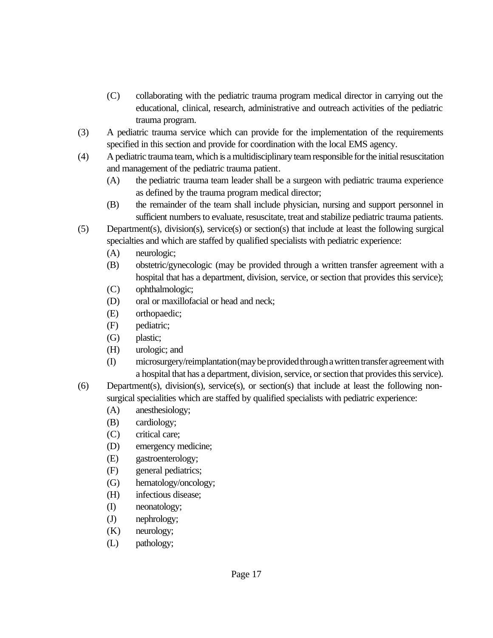- (C) collaborating with the pediatric trauma program medical director in carrying out the educational, clinical, research, administrative and outreach activities of the pediatric trauma program.
- (3) A pediatric trauma service which can provide for the implementation of the requirements specified in this section and provide for coordination with the local EMS agency.
- (4) A pediatric trauma team, which is a multidisciplinary team responsible for the initial resuscitation and management of the pediatric trauma patient.
	- (A) the pediatric trauma team leader shall be a surgeon with pediatric trauma experience as defined by the trauma program medical director;
	- (B) the remainder of the team shall include physician, nursing and support personnel in sufficient numbers to evaluate, resuscitate, treat and stabilize pediatric trauma patients.
- (5) Department(s), division(s), service(s) or section(s) that include at least the following surgical specialties and which are staffed by qualified specialists with pediatric experience:
	- (A) neurologic;
	- (B) obstetric/gynecologic (may be provided through a written transfer agreement with a hospital that has a department, division, service, or section that provides this service);
	- (C) ophthalmologic;
	- (D) oral or maxillofacial or head and neck;
	- (E) orthopaedic;
	- (F) pediatric;
	- (G) plastic;
	- (H) urologic; and
	- (I) microsurgery/reimplantation (may be provided through a written transfer agreement with a hospital that has a department, division, service, or section that provides this service).
- (6) Department(s), division(s), service(s), or section(s) that include at least the following nonsurgical specialities which are staffed by qualified specialists with pediatric experience:
	- (A) anesthesiology;
	- (B) cardiology;
	- (C) critical care;
	- (D) emergency medicine;
	- (E) gastroenterology;
	- (F) general pediatrics;
	- (G) hematology/oncology;
	- (H) infectious disease;
	- (I) neonatology;
	- (J) nephrology;
	- (K) neurology;
	- (L) pathology;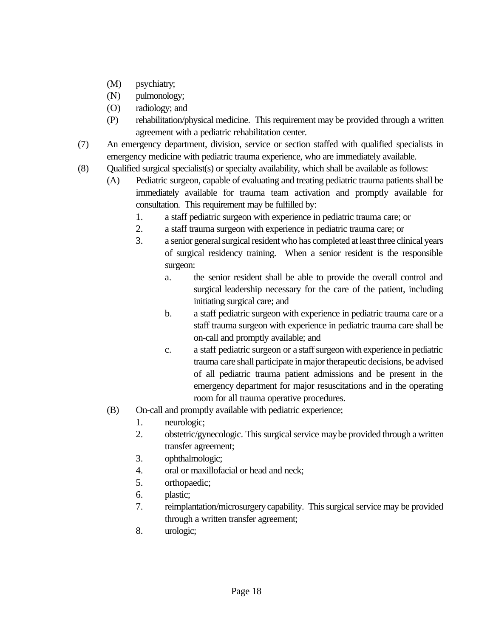- (M) psychiatry;
- (N) pulmonology;
- (O) radiology; and
- (P) rehabilitation/physical medicine. This requirement may be provided through a written agreement with a pediatric rehabilitation center.
- (7) An emergency department, division, service or section staffed with qualified specialists in emergency medicine with pediatric trauma experience, who are immediately available.
- (8) Qualified surgical specialist(s) or specialty availability, which shall be available as follows:
	- (A) Pediatric surgeon, capable of evaluating and treating pediatric trauma patients shall be immediately available for trauma team activation and promptly available for consultation. This requirement may be fulfilled by:
		- 1. a staff pediatric surgeon with experience in pediatric trauma care; or
		- 2. a staff trauma surgeon with experience in pediatric trauma care; or
		- 3. a senior general surgical resident who has completed at least three clinical years of surgical residency training. When a senior resident is the responsible surgeon:
			- a. the senior resident shall be able to provide the overall control and surgical leadership necessary for the care of the patient, including initiating surgical care; and
			- b. a staff pediatric surgeon with experience in pediatric trauma care or a staff trauma surgeon with experience in pediatric trauma care shall be on-call and promptly available; and
			- c. a staff pediatric surgeon or a staff surgeon with experience in pediatric trauma care shall participate in major therapeutic decisions, be advised of all pediatric trauma patient admissions and be present in the emergency department for major resuscitations and in the operating room for all trauma operative procedures.
	- (B) On-call and promptly available with pediatric experience;
		- 1. neurologic;
		- 2. obstetric/gynecologic. This surgical service may be provided through a written transfer agreement;
		- 3. ophthalmologic;
		- 4. oral or maxillofacial or head and neck;
		- 5. orthopaedic;
		- 6. plastic;
		- 7. reimplantation/microsurgery capability. This surgical service may be provided through a written transfer agreement;
		- 8. urologic;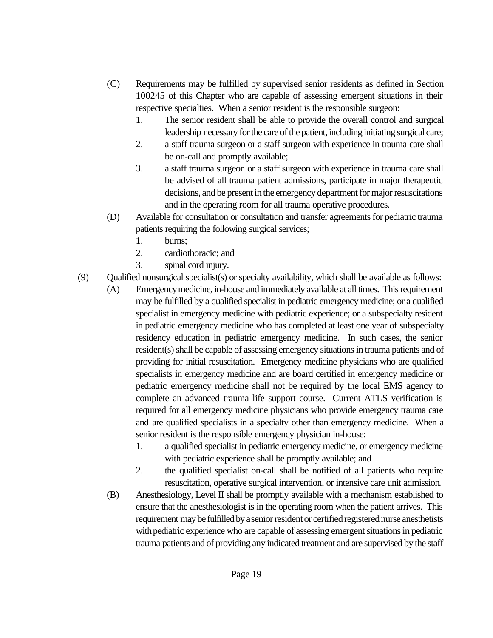- (C) Requirements may be fulfilled by supervised senior residents as defined in Section 100245 of this Chapter who are capable of assessing emergent situations in their respective specialties. When a senior resident is the responsible surgeon:
	- 1. The senior resident shall be able to provide the overall control and surgical leadership necessary for the care of the patient, including initiating surgical care;
	- 2. a staff trauma surgeon or a staff surgeon with experience in trauma care shall be on-call and promptly available;
	- 3. a staff trauma surgeon or a staff surgeon with experience in trauma care shall be advised of all trauma patient admissions, participate in major therapeutic decisions, and be present in the emergency department for major resuscitations and in the operating room for all trauma operative procedures.
- (D) Available for consultation or consultation and transfer agreements for pediatric trauma patients requiring the following surgical services;
	- 1. burns;
	- 2. cardiothoracic; and
	- 3. spinal cord injury.
- (9) Qualified nonsurgical specialist(s) or specialty availability, which shall be available as follows:
	- (A) Emergency medicine, in-house and immediately available at all times. This requirement may be fulfilled by a qualified specialist in pediatric emergency medicine; or a qualified specialist in emergency medicine with pediatric experience; or a subspecialty resident in pediatric emergency medicine who has completed at least one year of subspecialty residency education in pediatric emergency medicine. In such cases, the senior resident(s) shall be capable of assessing emergency situations in trauma patients and of providing for initial resuscitation. Emergency medicine physicians who are qualified specialists in emergency medicine and are board certified in emergency medicine or pediatric emergency medicine shall not be required by the local EMS agency to complete an advanced trauma life support course. Current ATLS verification is required for all emergency medicine physicians who provide emergency trauma care and are qualified specialists in a specialty other than emergency medicine. When a senior resident is the responsible emergency physician in-house:
		- 1. a qualified specialist in pediatric emergency medicine, or emergency medicine with pediatric experience shall be promptly available; and
		- 2. the qualified specialist on-call shall be notified of all patients who require resuscitation, operative surgical intervention, or intensive care unit admission.
	- (B) Anesthesiology, Level II shall be promptly available with a mechanism established to ensure that the anesthesiologist is in the operating room when the patient arrives. This requirement may be fulfilled by a senior resident or certified registered nurse anesthetists with pediatric experience who are capable of assessing emergent situations in pediatric trauma patients and of providing any indicated treatment and are supervised by the staff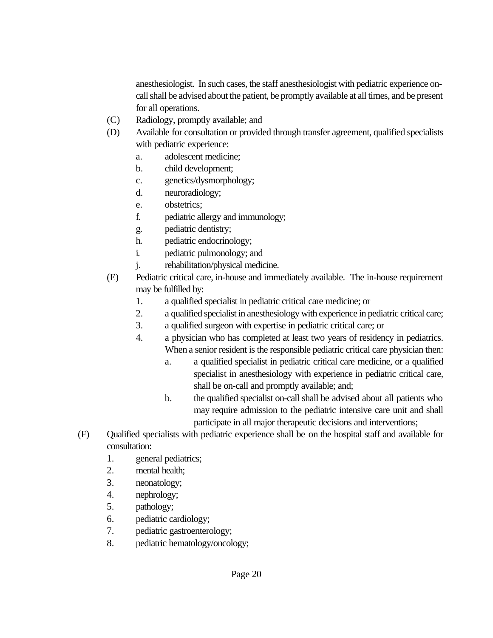anesthesiologist. In such cases, the staff anesthesiologist with pediatric experience oncall shall be advised about the patient, be promptly available at all times, and be present for all operations.

- (C) Radiology, promptly available; and
- (D) Available for consultation or provided through transfer agreement, qualified specialists with pediatric experience:
	- a. adolescent medicine;
	- b. child development;
	- c. genetics/dysmorphology;
	- d. neuroradiology;
	- e. obstetrics;
	- f. pediatric allergy and immunology;
	- g. pediatric dentistry;
	- h. pediatric endocrinology;
	- i. pediatric pulmonology; and
	- j. rehabilitation/physical medicine.
- (E) Pediatric critical care, in-house and immediately available. The in-house requirement may be fulfilled by:
	- 1. a qualified specialist in pediatric critical care medicine; or
	- 2. a qualified specialist in anesthesiology with experience in pediatric critical care;
	- 3. a qualified surgeon with expertise in pediatric critical care; or
	- 4. a physician who has completed at least two years of residency in pediatrics. When a senior resident is the responsible pediatric critical care physician then:
		- a. a qualified specialist in pediatric critical care medicine, or a qualified specialist in anesthesiology with experience in pediatric critical care, shall be on-call and promptly available; and;
		- b. the qualified specialist on-call shall be advised about all patients who may require admission to the pediatric intensive care unit and shall participate in all major therapeutic decisions and interventions;
- (F) Qualified specialists with pediatric experience shall be on the hospital staff and available for consultation:
	- 1. general pediatrics;
	- 2. mental health;
	- 3. neonatology;
	- 4. nephrology;
	- 5. pathology;
	- 6. pediatric cardiology;
	- 7. pediatric gastroenterology;
	- 8. pediatric hematology/oncology;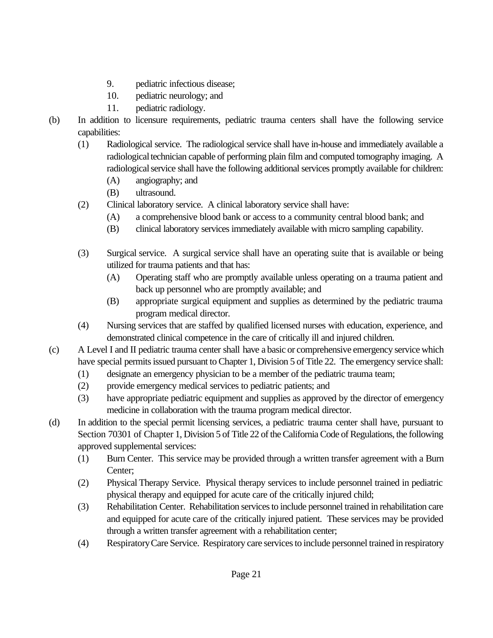- 9. pediatric infectious disease;
- 10. pediatric neurology; and
- 11. pediatric radiology.
- (b) In addition to licensure requirements, pediatric trauma centers shall have the following service capabilities:
	- (1) Radiological service. The radiological service shall have in-house and immediately available a radiological technician capable of performing plain film and computed tomography imaging. A radiological service shall have the following additional services promptly available for children:
		- (A) angiography; and
		- (B) ultrasound.
	- (2) Clinical laboratory service. A clinical laboratory service shall have:
		- (A) a comprehensive blood bank or access to a community central blood bank; and
		- (B) clinical laboratory services immediately available with micro sampling capability.
	- (3) Surgical service. A surgical service shall have an operating suite that is available or being utilized for trauma patients and that has:
		- (A) Operating staff who are promptly available unless operating on a trauma patient and back up personnel who are promptly available; and
		- (B) appropriate surgical equipment and supplies as determined by the pediatric trauma program medical director.
	- (4) Nursing services that are staffed by qualified licensed nurses with education, experience, and demonstrated clinical competence in the care of critically ill and injured children.
- (c) A Level I and II pediatric trauma center shall have a basic or comprehensive emergency service which have special permits issued pursuant to Chapter 1, Division 5 of Title 22. The emergency service shall:
	- (1) designate an emergency physician to be a member of the pediatric trauma team;
	- (2) provide emergency medical services to pediatric patients; and
	- (3) have appropriate pediatric equipment and supplies as approved by the director of emergency medicine in collaboration with the trauma program medical director.
- (d) In addition to the special permit licensing services, a pediatric trauma center shall have, pursuant to Section 70301 of Chapter 1, Division 5 of Title 22 of the California Code of Regulations, the following approved supplemental services:
	- (1) Burn Center. This service may be provided through a written transfer agreement with a Burn Center;
	- (2) Physical Therapy Service. Physical therapy services to include personnel trained in pediatric physical therapy and equipped for acute care of the critically injured child;
	- (3) Rehabilitation Center. Rehabilitation services to include personnel trained in rehabilitation care and equipped for acute care of the critically injured patient. These services may be provided through a written transfer agreement with a rehabilitation center;
	- (4) Respiratory Care Service. Respiratory care services to include personnel trained in respiratory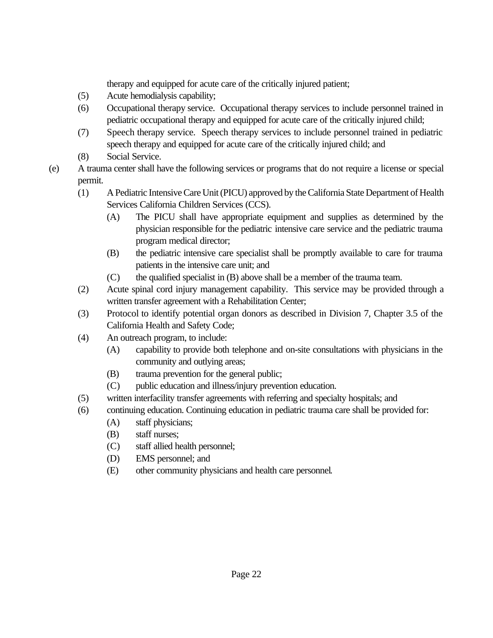therapy and equipped for acute care of the critically injured patient;

- (5) Acute hemodialysis capability;
- (6) Occupational therapy service. Occupational therapy services to include personnel trained in pediatric occupational therapy and equipped for acute care of the critically injured child;
- (7) Speech therapy service. Speech therapy services to include personnel trained in pediatric speech therapy and equipped for acute care of the critically injured child; and
- (8) Social Service.
- (e) A trauma center shall have the following services or programs that do not require a license or special permit.
	- (1) A Pediatric Intensive Care Unit (PICU) approved by the California State Department of Health Services California Children Services (CCS).
		- (A) The PICU shall have appropriate equipment and supplies as determined by the physician responsible for the pediatric intensive care service and the pediatric trauma program medical director;
		- (B) the pediatric intensive care specialist shall be promptly available to care for trauma patients in the intensive care unit; and
		- (C) the qualified specialist in (B) above shall be a member of the trauma team.
	- (2) Acute spinal cord injury management capability. This service may be provided through a written transfer agreement with a Rehabilitation Center;
	- (3) Protocol to identify potential organ donors as described in Division 7, Chapter 3.5 of the California Health and Safety Code;
	- (4) An outreach program, to include:
		- (A) capability to provide both telephone and on-site consultations with physicians in the community and outlying areas;
		- (B) trauma prevention for the general public;
		- (C) public education and illness/injury prevention education.
	- (5) written interfacility transfer agreements with referring and specialty hospitals; and
	- (6) continuing education. Continuing education in pediatric trauma care shall be provided for:
		- (A) staff physicians;
			- (B) staff nurses;
			- (C) staff allied health personnel;
			- (D) EMS personnel; and
			- (E) other community physicians and health care personnel.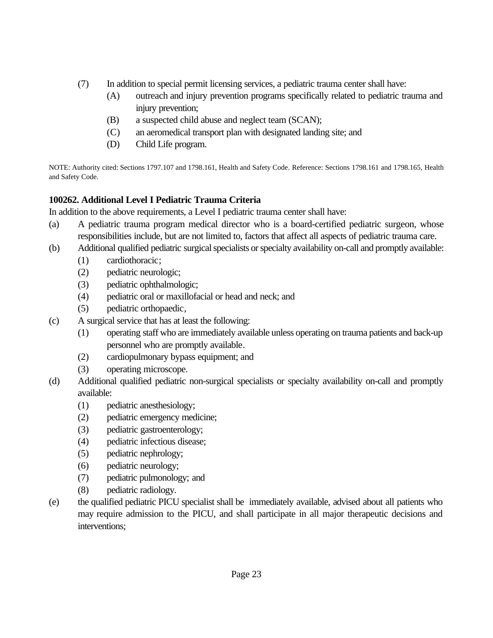- (7) In addition to special permit licensing services, a pediatric trauma center shall have:
	- (A) outreach and injury prevention programs specifically related to pediatric trauma and injury prevention;
	- (B) a suspected child abuse and neglect team (SCAN);
	- (C) an aeromedical transport plan with designated landing site; and
	- (D) Child Life program.

NOTE: Authority cited: Sections 1797.107 and 1798.161, Health and Safety Code. Reference: Sections 1798.161 and 1798.165, Health and Safety Code.

# **100262. Additional Level I Pediatric Trauma Criteria**

In addition to the above requirements, a Level I pediatric trauma center shall have:

- (a) A pediatric trauma program medical director who is a board-certified pediatric surgeon, whose responsibilities include, but are not limited to, factors that affect all aspects of pediatric trauma care.
- (b) Additional qualified pediatric surgical specialists or specialty availability on-call and promptly available:
	- (1) cardiothoracic;
	- (2) pediatric neurologic;
	- (3) pediatric ophthalmologic;
	- (4) pediatric oral or maxillofacial or head and neck; and
	- (5) pediatric orthopaedic,
- (c) A surgical service that has at least the following:
	- (1) operating staff who are immediately available unless operating on trauma patients and back-up personnel who are promptly available.
	- (2) cardiopulmonary bypass equipment; and
	- (3) operating microscope.
- (d) Additional qualified pediatric non-surgical specialists or specialty availability on-call and promptly available:
	- (1) pediatric anesthesiology;
	- (2) pediatric emergency medicine;
	- (3) pediatric gastroenterology;
	- (4) pediatric infectious disease;
	- (5) pediatric nephrology;
	- (6) pediatric neurology;
	- (7) pediatric pulmonology; and
	- (8) pediatric radiology.
- (e) the qualified pediatric PICU specialist shall be immediately available, advised about all patients who may require admission to the PICU, and shall participate in all major therapeutic decisions and interventions;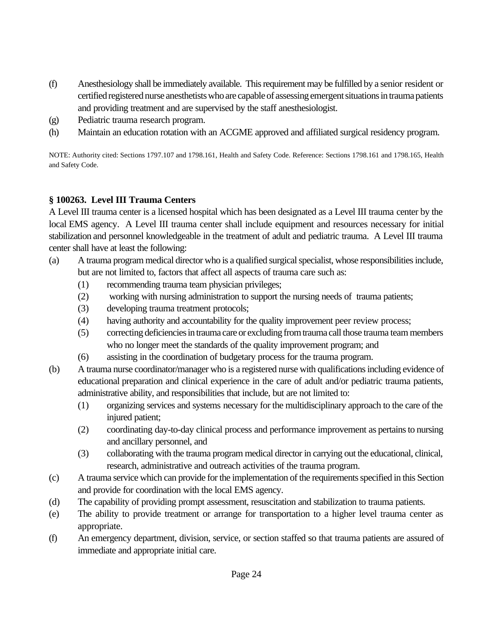- (f) Anesthesiology shall be immediately available. This requirement may be fulfilled by a senior resident or certified registered nurse anesthetists who are capable of assessing emergent situations in trauma patients and providing treatment and are supervised by the staff anesthesiologist.
- (g) Pediatric trauma research program.
- (h) Maintain an education rotation with an ACGME approved and affiliated surgical residency program.

NOTE: Authority cited: Sections 1797.107 and 1798.161, Health and Safety Code. Reference: Sections 1798.161 and 1798.165, Health and Safety Code.

## **§ 100263. Level III Trauma Centers**

A Level III trauma center is a licensed hospital which has been designated as a Level III trauma center by the local EMS agency. A Level III trauma center shall include equipment and resources necessary for initial stabilization and personnel knowledgeable in the treatment of adult and pediatric trauma. A Level III trauma center shall have at least the following:

- (a) A trauma program medical director who is a qualified surgical specialist, whose responsibilities include, but are not limited to, factors that affect all aspects of trauma care such as:
	- (1) recommending trauma team physician privileges;
	- (2) working with nursing administration to support the nursing needs of trauma patients;
	- (3) developing trauma treatment protocols;
	- (4) having authority and accountability for the quality improvement peer review process;
	- (5) correcting deficiencies in trauma care or excluding from trauma call those trauma team members who no longer meet the standards of the quality improvement program; and
	- (6) assisting in the coordination of budgetary process for the trauma program.
- (b) A trauma nurse coordinator/manager who is a registered nurse with qualifications including evidence of educational preparation and clinical experience in the care of adult and/or pediatric trauma patients, administrative ability, and responsibilities that include, but are not limited to:
	- (1) organizing services and systems necessary for the multidisciplinary approach to the care of the injured patient;
	- (2) coordinating day-to-day clinical process and performance improvement as pertains to nursing and ancillary personnel, and
	- (3) collaborating with the trauma program medical director in carrying out the educational, clinical, research, administrative and outreach activities of the trauma program.
- (c) A trauma service which can provide for the implementation of the requirements specified in this Section and provide for coordination with the local EMS agency.
- (d) The capability of providing prompt assessment, resuscitation and stabilization to trauma patients.
- (e) The ability to provide treatment or arrange for transportation to a higher level trauma center as appropriate.
- (f) An emergency department, division, service, or section staffed so that trauma patients are assured of immediate and appropriate initial care.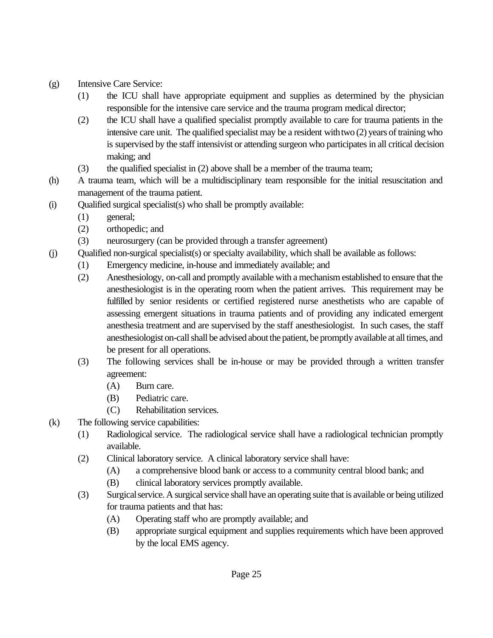- (g) Intensive Care Service:
	- (1) the ICU shall have appropriate equipment and supplies as determined by the physician responsible for the intensive care service and the trauma program medical director;
	- (2) the ICU shall have a qualified specialist promptly available to care for trauma patients in the intensive care unit. The qualified specialist may be a resident with two (2) years of training who is supervised by the staff intensivist or attending surgeon who participates in all critical decision making; and
	- (3) the qualified specialist in (2) above shall be a member of the trauma team;
- (h) A trauma team, which will be a multidisciplinary team responsible for the initial resuscitation and management of the trauma patient.
- (i) Qualified surgical specialist(s) who shall be promptly available:
	- (1) general;
	- (2) orthopedic; and
	- (3) neurosurgery (can be provided through a transfer agreement)
- (j) Qualified non-surgical specialist(s) or specialty availability, which shall be available as follows:
	- (1) Emergency medicine, in-house and immediately available; and
	- (2) Anesthesiology, on-call and promptly available with a mechanism established to ensure that the anesthesiologist is in the operating room when the patient arrives. This requirement may be fulfilled by senior residents or certified registered nurse anesthetists who are capable of assessing emergent situations in trauma patients and of providing any indicated emergent anesthesia treatment and are supervised by the staff anesthesiologist. In such cases, the staff anesthesiologist on-call shall be advised about the patient, be promptly available at all times, and be present for all operations.
	- (3) The following services shall be in-house or may be provided through a written transfer agreement:
		- (A) Burn care.
		- (B) Pediatric care.
		- (C) Rehabilitation services.
- (k) The following service capabilities:
	- (1) Radiological service. The radiological service shall have a radiological technician promptly available.
	- (2) Clinical laboratory service. A clinical laboratory service shall have:
		- (A) a comprehensive blood bank or access to a community central blood bank; and
		- (B) clinical laboratory services promptly available.
	- (3) Surgical service. A surgical service shall have an operating suite that is available or being utilized for trauma patients and that has:
		- (A) Operating staff who are promptly available; and
		- (B) appropriate surgical equipment and supplies requirements which have been approved by the local EMS agency.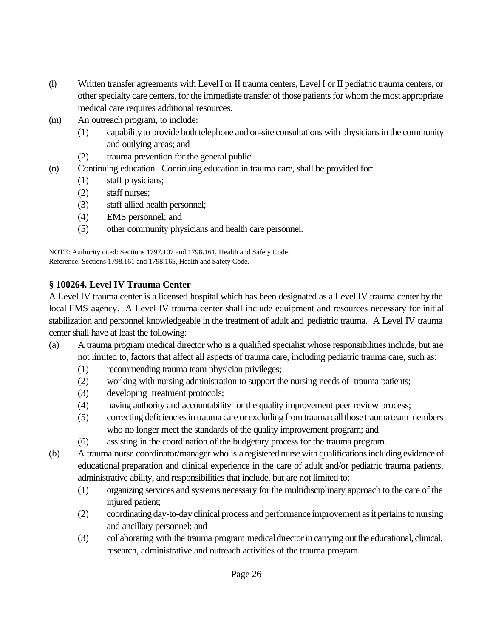- (l) Written transfer agreements with Level I or II trauma centers, Level I or II pediatric trauma centers, or other specialty care centers, for the immediate transfer of those patients for whom the most appropriate medical care requires additional resources.
- (m) An outreach program, to include:
	- (1) capability to provide both telephone and on-site consultations with physicians in the community and outlying areas; and
	- (2) trauma prevention for the general public.
- (n) Continuing education. Continuing education in trauma care, shall be provided for:
	- (1) staff physicians;
	- (2) staff nurses;
	- (3) staff allied health personnel;
	- (4) EMS personnel; and
	- (5) other community physicians and health care personnel.

NOTE: Authority cited: Sections 1797.107 and 1798.161, Health and Safety Code. Reference: Sections 1798.161 and 1798.165, Health and Safety Code.

# **§ 100264. Level IV Trauma Center**

A Level IV trauma center is a licensed hospital which has been designated as a Level IV trauma center by the local EMS agency. A Level IV trauma center shall include equipment and resources necessary for initial stabilization and personnel knowledgeable in the treatment of adult and pediatric trauma. A Level IV trauma center shall have at least the following:

- (a) A trauma program medical director who is a qualified specialist whose responsibilities include, but are not limited to, factors that affect all aspects of trauma care, including pediatric trauma care, such as:
	- (1) recommending trauma team physician privileges;
	- (2) working with nursing administration to support the nursing needs of trauma patients;
	- (3) developing treatment protocols;
	- (4) having authority and accountability for the quality improvement peer review process;
	- (5) correcting deficiencies in trauma care or excluding from trauma call those trauma team members who no longer meet the standards of the quality improvement program; and
	- (6) assisting in the coordination of the budgetary process for the trauma program.
- (b) A trauma nurse coordinator/manager who is a registered nurse with qualifications including evidence of educational preparation and clinical experience in the care of adult and/or pediatric trauma patients, administrative ability, and responsibilities that include, but are not limited to:
	- (1) organizing services and systems necessary for the multidisciplinary approach to the care of the injured patient;
	- (2) coordinating day-to-day clinical process and performance improvement as it pertains to nursing and ancillary personnel; and
	- (3) collaborating with the trauma program medical director in carrying out the educational, clinical, research, administrative and outreach activities of the trauma program.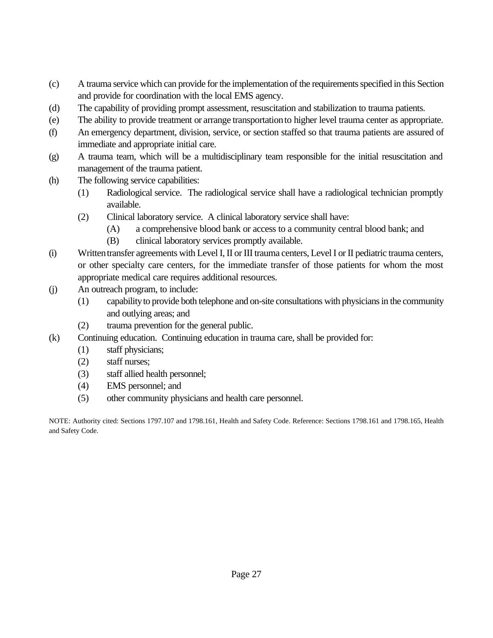- (c) A trauma service which can provide for the implementation of the requirements specified in this Section and provide for coordination with the local EMS agency.
- (d) The capability of providing prompt assessment, resuscitation and stabilization to trauma patients.
- (e) The ability to provide treatment or arrange transportationto higher level trauma center as appropriate.
- (f) An emergency department, division, service, or section staffed so that trauma patients are assured of immediate and appropriate initial care.
- (g) A trauma team, which will be a multidisciplinary team responsible for the initial resuscitation and management of the trauma patient.
- (h) The following service capabilities:
	- (1) Radiological service. The radiological service shall have a radiological technician promptly available.
	- (2) Clinical laboratory service. A clinical laboratory service shall have:
		- (A) a comprehensive blood bank or access to a community central blood bank; and
		- (B) clinical laboratory services promptly available.
- (i) Written transfer agreements with Level I, II or III trauma centers, Level I or II pediatric trauma centers, or other specialty care centers, for the immediate transfer of those patients for whom the most appropriate medical care requires additional resources.
- (j) An outreach program, to include:
	- (1) capability to provide both telephone and on-site consultations with physicians in the community and outlying areas; and
	- (2) trauma prevention for the general public.
- (k) Continuing education. Continuing education in trauma care, shall be provided for:
	- (1) staff physicians;
	- (2) staff nurses;
	- (3) staff allied health personnel;
	- (4) EMS personnel; and
	- (5) other community physicians and health care personnel.

NOTE: Authority cited: Sections 1797.107 and 1798.161, Health and Safety Code. Reference: Sections 1798.161 and 1798.165, Health and Safety Code.